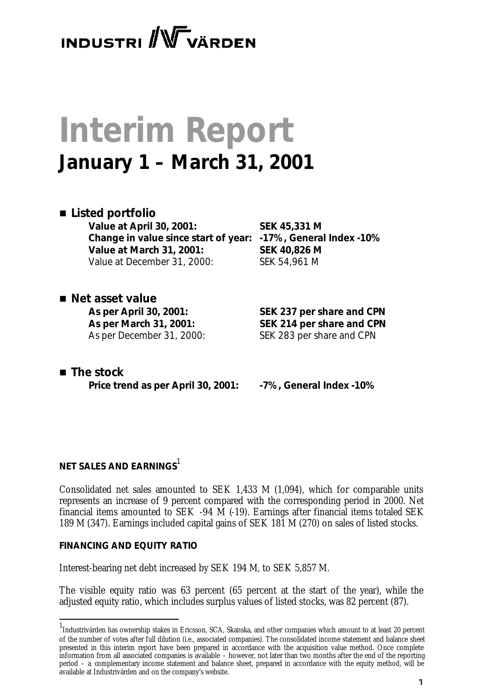# **INDUSTRI** WVARDEN

# **Interim Report January 1 – March 31, 2001**

#### ■ *Listed portfolio*

**Value at April 30, 2001: SEK 45,331 M Change in value since start of year: -17%, General Index -10% Value at March 31, 2001: SEK 40,826 M** Value at December 31, 2000: SEK 54,961 M

■ *Net asset value* 

**As per April 30, 2001: SEK 237 per share and CPN As per March 31, 2001: SEK 214 per share and CPN**  As per December 31, 2000: SEK 283 per share and CPN

■ *The stock* **Price trend as per April 30, 2001: -7%, General Index -10%**

### **NET SALES AND EARNINGS**<sup>1</sup>

Consolidated net sales amounted to SEK 1,433 M (1,094), which for comparable units represents an increase of 9 percent compared with the corresponding period in 2000. Net financial items amounted to SEK -94 M (-19). Earnings after financial items totaled SEK 189 M (347). Earnings included capital gains of SEK 181 M (270) on sales of listed stocks.

#### **FINANCING AND EQUITY RATIO**

l

Interest-bearing net debt increased by SEK 194 M, to SEK 5,857 M.

The visible equity ratio was 63 percent (65 percent at the start of the year), while the adjusted equity ratio, which includes surplus values of listed stocks, was 82 percent (87).

<sup>1</sup> Industrivärden has ownership stakes in Ericsson, SCA, Skanska, and other companies which amount to at least 20 percent of the number of votes after full dilution (i.e., associated companies). The consolidated income statement and balance sheet presented in this interim report have been prepared in accordance with the acquisition value method. Once complete information from all associated companies is available – however, not later than two months after the end of the reporting period – a complementary income statement and balance sheet, prepared in accordance with the equity method, will be available at Industrivärden and on the company's website.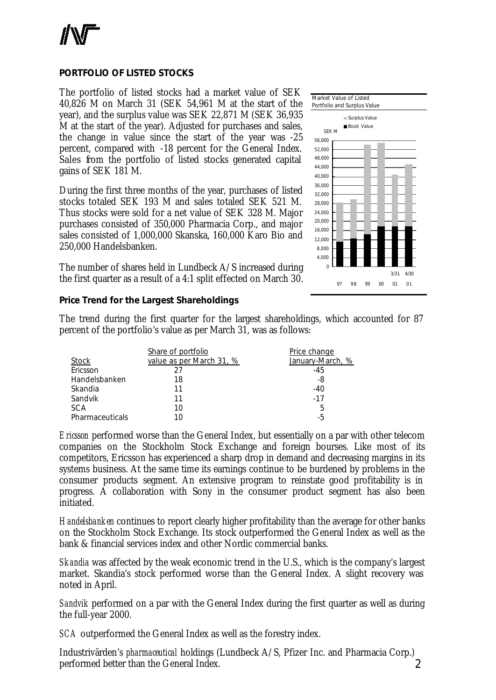#### **PORTFOLIO OF LISTED STOCKS**

The portfolio of listed stocks had a market value of SEK 40,826 M on March 31 (SEK 54,961 M at the start of the year), and the surplus value was SEK 22,871 M (SEK 36,935 M at the start of the year). Adjusted for purchases and sales, the change in value since the start of the year was -25 percent, compared with -18 percent for the General Index. Sales from the portfolio of listed stocks generated capital gains of SEK 181 M.

During the first three months of the year, purchases of listed stocks totaled SEK 193 M and sales totaled SEK 521 M. Thus stocks were sold for a net value of SEK 328 M. Major purchases consisted of 350,000 Pharmacia Corp., and major sales consisted of 1,000,000 Skanska, 160,000 Karo Bio and 250,000 Handelsbanken.

The number of shares held in Lundbeck A/S increased during the first quarter as a result of a 4:1 split effected on March 30.

#### **Price Trend for the Largest Shareholdings**



The trend during the first quarter for the largest shareholdings, which accounted for 87 percent of the portfolio's value as per March 31, was as follows:

|                 | Share of portfolio       | Price change     |
|-----------------|--------------------------|------------------|
| <b>Stock</b>    | value as per March 31, % | January-March, % |
| Ericsson        | 27                       | $-45$            |
| Handelsbanken   | 18                       | -8               |
| Skandia         | 11                       | $-40$            |
| Sandvik         | 11                       | $-17$            |
| <b>SCA</b>      | 10                       | 5                |
| Pharmaceuticals | 10                       | -5               |

*Ericsson* performed worse than the General Index, but essentially on a par with other telecom companies on the Stockholm Stock Exchange and foreign bourses. Like most of its competitors, Ericsson has experienced a sharp drop in demand and decreasing margins in its systems business. At the same time its earnings continue to be burdened by problems in the consumer products segment. An extensive program to reinstate good profitability is in progress. A collaboration with Sony in the consumer product segment has also been initiated.

*Handelsbanken* continues to report clearly higher profitability than the average for other banks on the Stockholm Stock Exchange. Its stock outperformed the General Index as well as the bank & financial services index and other Nordic commercial banks.

*Skandia* was affected by the weak economic trend in the U.S., which is the company's largest market. Skandia's stock performed worse than the General Index. A slight recovery was noted in April.

*Sandvik* performed on a par with the General Index during the first quarter as well as during the full-year 2000.

*SCA* outperformed the General Index as well as the forestry index.

 $\mathcal{D}$ Industrivärden's *pharmaceutical* holdings (Lundbeck A/S, Pfizer Inc. and Pharmacia Corp.) performed better than the General Index.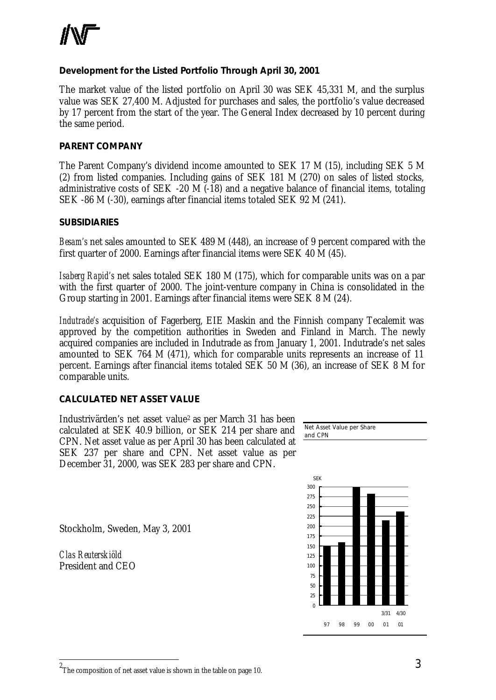

#### **Development for the Listed Portfolio Through April 30, 2001**

The market value of the listed portfolio on April 30 was SEK 45,331 M, and the surplus value was SEK 27,400 M. Adjusted for purchases and sales, the portfolio's value decreased by 17 percent from the start of the year. The General Index decreased by 10 percent during the same period.

#### **PARENT COMPANY**

The Parent Company's dividend income amounted to SEK 17 M (15), including SEK 5 M (2) from listed companies. Including gains of SEK 181 M (270) on sales of listed stocks, administrative costs of SEK -20 M  $(-18)$  and a negative balance of financial items, totaling SEK -86 M (-30), earnings after financial items totaled SEK 92 M (241).

#### **SUBSIDIARIES**

*Besam's* net sales amounted to SEK 489 M (448), an increase of 9 percent compared with the first quarter of 2000. Earnings after financial items were SEK 40 M (45).

*Isaberg Rapid's* net sales totaled SEK 180 M (175), which for comparable units was on a par with the first quarter of 2000. The joint-venture company in China is consolidated in the Group starting in 2001. Earnings after financial items were SEK 8 M (24).

*Indutrade's* acquisition of Fagerberg, EIE Maskin and the Finnish company Tecalemit was approved by the competition authorities in Sweden and Finland in March. The newly acquired companies are included in Indutrade as from January 1, 2001. Indutrade's net sales amounted to SEK 764 M (471), which for comparable units represents an increase of 11 percent. Earnings after financial items totaled SEK 50 M (36), an increase of SEK 8 M for comparable units.

#### **CALCULATED NET ASSET VALUE**

Industrivärden's net asset value<sup>2</sup> as per March 31 has been calculated at SEK 40.9 billion, or SEK 214 per share and CPN. Net asset value as per April 30 has been calculated at SEK 237 per share and CPN. Net asset value as per December 31, 2000, was SEK 283 per share and CPN.



Stockholm, Sweden, May 3, 2001

*Clas Reuterskiöld* President and CEO

l

 $^{\rm 2}$ The composition of net asset value is shown in the table on page 10.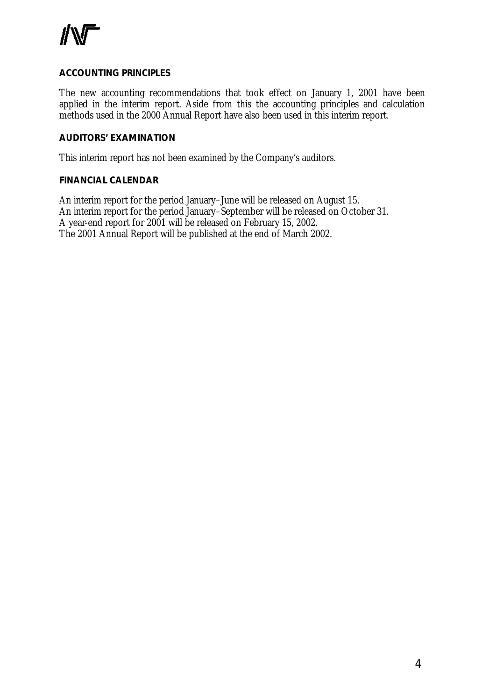

#### **ACCOUNTING PRINCIPLES**

The new accounting recommendations that took effect on January 1, 2001 have been applied in the interim report. Aside from this the accounting principles and calculation methods used in the 2000 Annual Report have also been used in this interim report.

#### **AUDITORS' EXAMINATION**

This interim report has not been examined by the Company's auditors.

#### **FINANCIAL CALENDAR**

An interim report for the period January–June will be released on August 15. An interim report for the period January–September will be released on October 31. A year-end report for 2001 will be released on February 15, 2002. The 2001 Annual Report will be published at the end of March 2002.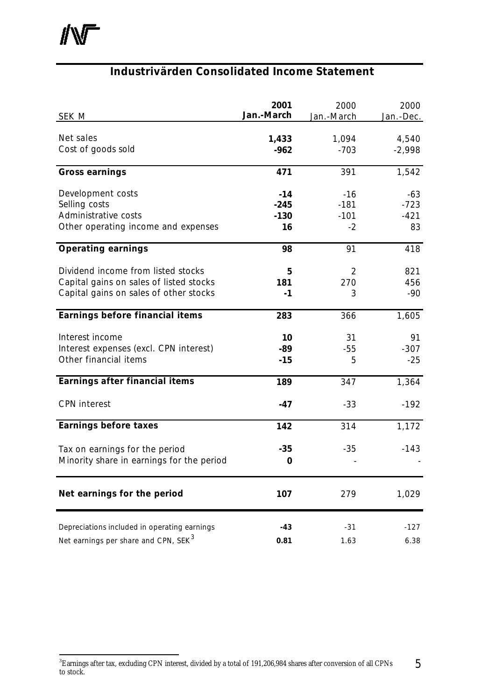## **Industrivärden Consolidated Income Statement**

| SEK M                                                                                                                   | 2001<br>Jan.-March              | 2000<br>Jan.-March                | 2000<br>Jan.-Dec.             |
|-------------------------------------------------------------------------------------------------------------------------|---------------------------------|-----------------------------------|-------------------------------|
| Net sales<br>Cost of goods sold                                                                                         | 1,433<br>$-962$                 | 1,094<br>$-703$                   | 4,540<br>$-2,998$             |
| <b>Gross earnings</b>                                                                                                   | 471                             | 391                               | 1,542                         |
| Development costs<br>Selling costs<br>Administrative costs<br>Other operating income and expenses                       | $-14$<br>$-245$<br>$-130$<br>16 | $-16$<br>$-181$<br>$-101$<br>$-2$ | -63<br>$-723$<br>$-421$<br>83 |
| <b>Operating earnings</b>                                                                                               | 98                              | 91                                | 418                           |
| Dividend income from listed stocks<br>Capital gains on sales of listed stocks<br>Capital gains on sales of other stocks | 5<br>181<br>$-1$                | 2<br>270<br>3                     | 821<br>456<br>$-90$           |
| Earnings before financial items                                                                                         | 283                             | 366                               | 1,605                         |
| Interest income<br>Interest expenses (excl. CPN interest)<br>Other financial items                                      | 10<br>-89<br>$-15$              | 31<br>$-55$<br>5                  | 91<br>$-307$<br>$-25$         |
| Earnings after financial items                                                                                          | 189                             | 347                               | 1,364                         |
| <b>CPN</b> interest                                                                                                     | $-47$                           | $-33$                             | $-192$                        |
| <b>Earnings before taxes</b>                                                                                            | 142                             | 314                               | 1,172                         |
| Tax on earnings for the period<br>Minority share in earnings for the period                                             | $-35$<br>$\bf{0}$               | $-35$                             | $-143$                        |
| Net earnings for the period                                                                                             | 107                             | 279                               | 1,029                         |
| Depreciations included in operating earnings<br>Net earnings per share and CPN, SEK <sup>3</sup>                        | $-43$<br>0.81                   | $-31$<br>1.63                     | $-127$<br>6.38                |

<sup>5</sup> <sup>3</sup><br>Earnings after tax, excluding CPN interest, divided by a total of 191,206,984 shares after conversion of all CPNs to stock.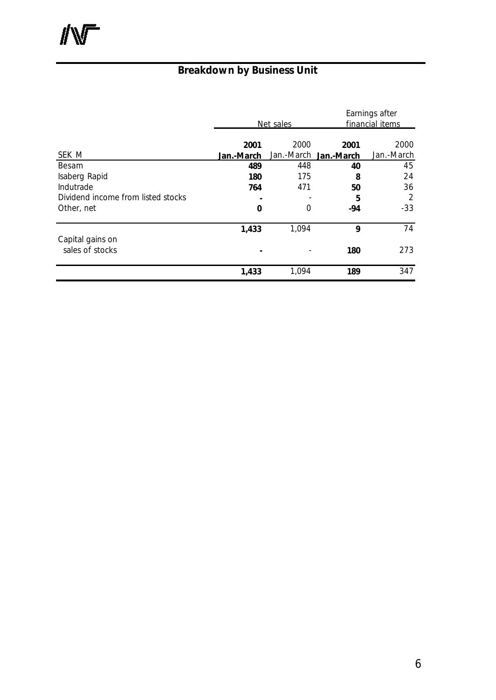# **Breakdown by Business Unit**

|                                     |            | Net sales  |                       | Earnings after<br>financial items |  |
|-------------------------------------|------------|------------|-----------------------|-----------------------------------|--|
| SEK M                               | 2001       | 2000       | 2001                  | 2000<br>Jan.-March                |  |
|                                     | Jan.-March |            | Jan.-March Jan.-March |                                   |  |
| Besam<br>Isaberg Rapid              | 489<br>180 | 448<br>175 | 40<br>8               | 45<br>24                          |  |
| Indutrade                           | 764        | 471        | 50                    | 36                                |  |
| Dividend income from listed stocks  |            |            | 5                     | 2                                 |  |
| Other, net                          | 0          | 0          | $-94$                 | $-33$                             |  |
|                                     | 1,433      | 1,094      | 9                     | 74                                |  |
| Capital gains on<br>sales of stocks |            |            | 180                   | 273                               |  |
|                                     | 1,433      | 1,094      | 189                   | 347                               |  |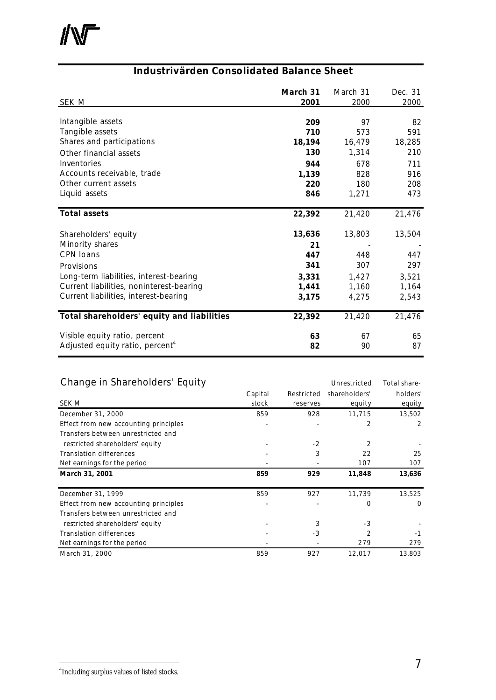#### **Industrivärden Consolidated Balance Sheet**

| <b>SEK M</b>                                | March 31<br>2001 | March 31<br>2000 | Dec. 31<br>2000 |
|---------------------------------------------|------------------|------------------|-----------------|
|                                             |                  |                  |                 |
| Intangible assets                           | 209              | 97               | 82              |
| Tangible assets                             | 710              | 573              | 591             |
| Shares and participations                   | 18,194           | 16,479           | 18,285          |
| Other financial assets                      | 130              | 1,314            | 210             |
| Inventories                                 | 944              | 678              | 711             |
| Accounts receivable, trade                  | 1,139            | 828              | 916             |
| Other current assets                        | 220              | 180              | 208             |
| Liquid assets                               | 846              | 1,271            | 473             |
| <b>Total assets</b>                         | 22,392           | 21,420           | 21,476          |
| Shareholders' equity                        | 13,636           | 13,803           | 13,504          |
| Minority shares                             | 21               |                  |                 |
| <b>CPN loans</b>                            | 447              | 448              | 447             |
| Provisions                                  | 341              | 307              | 297             |
| Long-term liabilities, interest-bearing     | 3,331            | 1,427            | 3,521           |
| Current liabilities, noninterest-bearing    | 1,441            | 1,160            | 1,164           |
| Current liabilities, interest-bearing       | 3,175            | 4,275            | 2,543           |
| Total shareholders' equity and liabilities  | 22,392           | 21,420           | 21,476          |
| Visible equity ratio, percent               | 63               | 67               | 65              |
| Adjusted equity ratio, percent <sup>4</sup> | 82               | 90               | 87              |

#### Change in Shareholders' Equity **Example 20 Figure 10 Accord 20 Figure 20 Figure 20 Figure 20 Figure 20 Figure 20 Figure 20 Figure 20 Figure 20 Figure 20 Figure 20 Figure 20 Figure 20 Figure 20 Figure 20 Figure 20 Figure 20** Capital Restricted shareholders' holders' SEK M stock reserves equity equity equity December 31, 2000 859 859 928 11,715 13,502 Effect from new accounting principles and the contract of the contract of the contract of the contract of the contract of the contract of the contract of the contract of the contract of the contract of the contract of the Transfers between unrestricted and restricted shareholders' equity the state of the state of  $\sim$  -2 2  $\sim$  2 -Translation differences and the set of the set of the set of the set of the set of the set of the set of the set of the set of the set of the set of the set of the set of the set of the set of the set of the set of the set Net earnings for the period  $\frac{107}{200}$  107 107 **March 31, 2001 859 929 11,848 13,636** December 31, 1999 859 859 927 11, 739 13,525 Effect from new accounting principles and the set of the set of the set of the set of the set of the set of the set of the set of the set of the set of the set of the set of the set of the set of the set of the set of the Transfers between unrestricted and restricted shareholders' equity and the stricted shareholders' equity and the stricted shareholders' equity Translation differences and the set of the set of the set of the set of the set of the set of the set of the set of the set of the set of the set of the set of the set of the set of the set of the set of the set of the set Net earnings for the period and the contract of the contract of the contract of the contract of the contract of the contract of the contract of the contract of the contract of the contract of the contract of the contract o March 31, 2000 859 927 12,017 13,803

l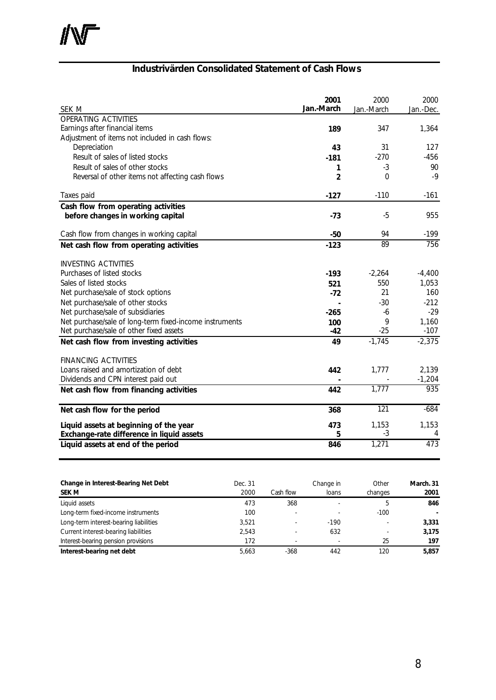### **Industrivärden Consolidated Statement of Cash Flows**

|                                                         | 2001       | 2000             | 2000       |
|---------------------------------------------------------|------------|------------------|------------|
| SEK M                                                   | Jan.-March | Jan.-March       | Jan.-Dec.  |
| <b>OPERATING ACTIVITIES</b>                             |            |                  |            |
| Earnings after financial items                          | 189        | 347              | 1,364      |
| Adjustment of items not included in cash flows:         |            |                  |            |
| Depreciation                                            | 43         | 31               | 127        |
| Result of sales of listed stocks                        | $-181$     | $-270$           | $-456$     |
| Result of sales of other stocks                         | 1          | $-3$             | 90         |
| Reversal of other items not affecting cash flows        | 2          | 0                | $-9$       |
| Taxes paid                                              | $-127$     | $-110$           | $-161$     |
| Cash flow from operating activities                     |            |                  |            |
| before changes in working capital                       | $-73$      | $-5$             | 955        |
| Cash flow from changes in working capital               | $-50$      | 94               | $-199$     |
| Net cash flow from operating activities                 | $-123$     | 89               | 756        |
| <b>INVESTING ACTIVITIES</b>                             |            |                  |            |
| Purchases of listed stocks                              | $-193$     | $-2,264$         | $-4,400$   |
| Sales of listed stocks                                  | 521        | 550              | 1,053      |
| Net purchase/sale of stock options                      | $-72$      | 21               | 160        |
| Net purchase/sale of other stocks                       |            | $-30$            | $-212$     |
| Net purchase/sale of subsidiaries                       | $-265$     | $-6$             | $-29$      |
| Net purchase/sale of long-term fixed-income instruments | 100        | 9                | 1,160      |
| Net purchase/sale of other fixed assets                 | $-42$      | $-25$            | $-107$     |
| Net cash flow from investing activities                 | 49         | $-1,745$         | $-2,375$   |
| <b>FINANCING ACTIVITIES</b>                             |            |                  |            |
| Loans raised and amortization of debt                   | 442        | 1,777            | 2,139      |
| Dividends and CPN interest paid out                     |            |                  | $-1,204$   |
| Net cash flow from financing activities                 | 442        | 1,777            | 935        |
| Net cash flow for the period                            | 368        | $\overline{121}$ | $-684$     |
|                                                         |            |                  |            |
| Liquid assets at beginning of the year                  | 473<br>5   | 1,153<br>$-3$    | 1,153<br>4 |
| Exchange-rate difference in liquid assets               |            |                  | 473        |
| Liquid assets at end of the period                      | 846        | 1,271            |            |

| Change in Interest-Bearing Net Debt<br><b>SEK M</b> | Dec. 31<br>2000 | Cash flow                | Change in<br>loans | Other<br>changes         | March, 31<br>2001 |
|-----------------------------------------------------|-----------------|--------------------------|--------------------|--------------------------|-------------------|
| Liquid assets                                       | 473             | 368                      |                    | $\mathcal{D}$            | 846               |
| Long-term fixed-income instruments                  | 100             | $\overline{\phantom{a}}$ |                    | $-100$                   |                   |
| Long-term interest-bearing liabilities              | 3.521           | $\overline{\phantom{a}}$ | $-190$             | $\overline{\phantom{a}}$ | 3.331             |
| Current interest-bearing liabilities                | 2.543           |                          | 632                | $\overline{\phantom{0}}$ | 3,175             |
| Interest-bearing pension provisions                 | 172             | $\overline{\phantom{a}}$ |                    | 25                       | 197               |
| Interest-bearing net debt                           | 5.663           | $-368$                   | 442                | 120                      | 5,857             |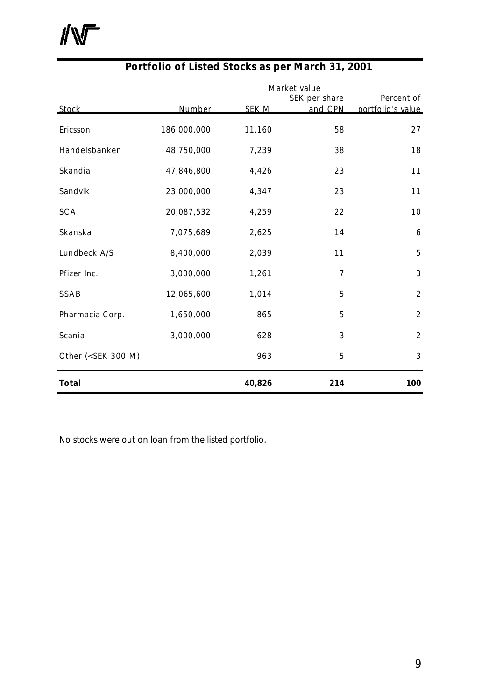小厂

|                                                                                                          |             |              | Market value  |                   |  |
|----------------------------------------------------------------------------------------------------------|-------------|--------------|---------------|-------------------|--|
|                                                                                                          |             |              | SEK per share | Percent of        |  |
| <b>Stock</b>                                                                                             | Number      | <b>SEK M</b> | and CPN       | portfolio's value |  |
| Ericsson                                                                                                 | 186,000,000 | 11,160       | 58            | 27                |  |
| Handelsbanken                                                                                            | 48,750,000  | 7,239        | 38            | 18                |  |
| Skandia                                                                                                  | 47,846,800  | 4,426        | 23            | 11                |  |
| Sandvik                                                                                                  | 23,000,000  | 4,347        | 23            | 11                |  |
| <b>SCA</b>                                                                                               | 20,087,532  | 4,259        | 22            | 10                |  |
| Skanska                                                                                                  | 7,075,689   | 2,625        | 14            | 6                 |  |
| Lundbeck A/S                                                                                             | 8,400,000   | 2,039        | 11            | 5                 |  |
| Pfizer Inc.                                                                                              | 3,000,000   | 1,261        | 7             | $\mathfrak{Z}$    |  |
| SSAB                                                                                                     | 12,065,600  | 1,014        | 5             | $\overline{2}$    |  |
| Pharmacia Corp.                                                                                          | 1,650,000   | 865          | 5             | $\overline{2}$    |  |
| Scania                                                                                                   | 3,000,000   | 628          | 3             | $\overline{2}$    |  |
| Other ( <sek 300="" m)<="" td=""><td></td><td>963</td><td>5</td><td><math>\mathfrak{Z}</math></td></sek> |             | 963          | 5             | $\mathfrak{Z}$    |  |
| <b>Total</b>                                                                                             |             | 40,826       | 214           | 100               |  |

### **Portfolio of Listed Stocks as per March 31, 2001**

No stocks were out on loan from the listed portfolio.